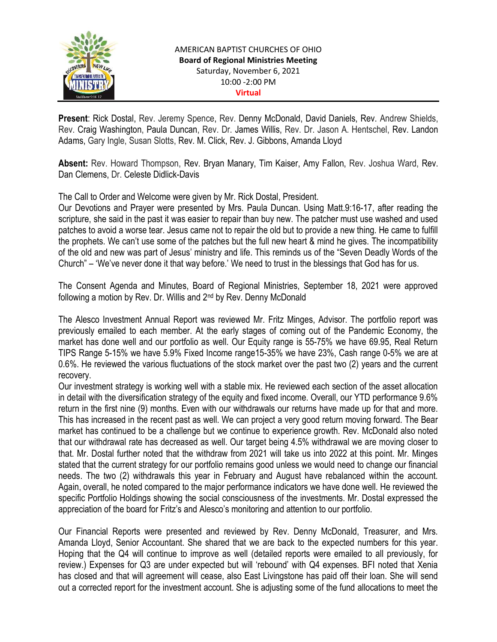

Present: Rick Dostal, Rev. Jeremy Spence, Rev. Denny McDonald, David Daniels, Rev. Andrew Shields, Rev. Craig Washington, Paula Duncan, Rev. Dr. James Willis, Rev. Dr. Jason A. Hentschel, Rev. Landon Adams, Gary Ingle, Susan Slotts, Rev. M. Click, Rev. J. Gibbons, Amanda Lloyd

Absent: Rev. Howard Thompson, Rev. Bryan Manary, Tim Kaiser, Amy Fallon, Rev. Joshua Ward, Rev. Dan Clemens, Dr. Celeste Didlick-Davis

The Call to Order and Welcome were given by Mr. Rick Dostal, President.

Our Devotions and Prayer were presented by Mrs. Paula Duncan. Using Matt.9:16-17, after reading the scripture, she said in the past it was easier to repair than buy new. The patcher must use washed and used patches to avoid a worse tear. Jesus came not to repair the old but to provide a new thing. He came to fulfill the prophets. We can't use some of the patches but the full new heart & mind he gives. The incompatibility of the old and new was part of Jesus' ministry and life. This reminds us of the "Seven Deadly Words of the Church" – 'We've never done it that way before.' We need to trust in the blessings that God has for us.

The Consent Agenda and Minutes, Board of Regional Ministries, September 18, 2021 were approved following a motion by Rev. Dr. Willis and  $2<sup>nd</sup>$  by Rev. Denny McDonald

The Alesco Investment Annual Report was reviewed Mr. Fritz Minges, Advisor. The portfolio report was previously emailed to each member. At the early stages of coming out of the Pandemic Economy, the market has done well and our portfolio as well. Our Equity range is 55-75% we have 69.95, Real Return TIPS Range 5-15% we have 5.9% Fixed Income range15-35% we have 23%, Cash range 0-5% we are at 0.6%. He reviewed the various fluctuations of the stock market over the past two (2) years and the current recovery.

Our investment strategy is working well with a stable mix. He reviewed each section of the asset allocation in detail with the diversification strategy of the equity and fixed income. Overall, our YTD performance 9.6% return in the first nine (9) months. Even with our withdrawals our returns have made up for that and more. This has increased in the recent past as well. We can project a very good return moving forward. The Bear market has continued to be a challenge but we continue to experience growth. Rev. McDonald also noted that our withdrawal rate has decreased as well. Our target being 4.5% withdrawal we are moving closer to that. Mr. Dostal further noted that the withdraw from 2021 will take us into 2022 at this point. Mr. Minges stated that the current strategy for our portfolio remains good unless we would need to change our financial needs. The two (2) withdrawals this year in February and August have rebalanced within the account. Again, overall, he noted compared to the major performance indicators we have done well. He reviewed the specific Portfolio Holdings showing the social consciousness of the investments. Mr. Dostal expressed the appreciation of the board for Fritz's and Alesco's monitoring and attention to our portfolio.

Our Financial Reports were presented and reviewed by Rev. Denny McDonald, Treasurer, and Mrs. Amanda Lloyd, Senior Accountant. She shared that we are back to the expected numbers for this year. Hoping that the Q4 will continue to improve as well (detailed reports were emailed to all previously, for review.) Expenses for Q3 are under expected but will 'rebound' with Q4 expenses. BFI noted that Xenia has closed and that will agreement will cease, also East Livingstone has paid off their loan. She will send out a corrected report for the investment account. She is adjusting some of the fund allocations to meet the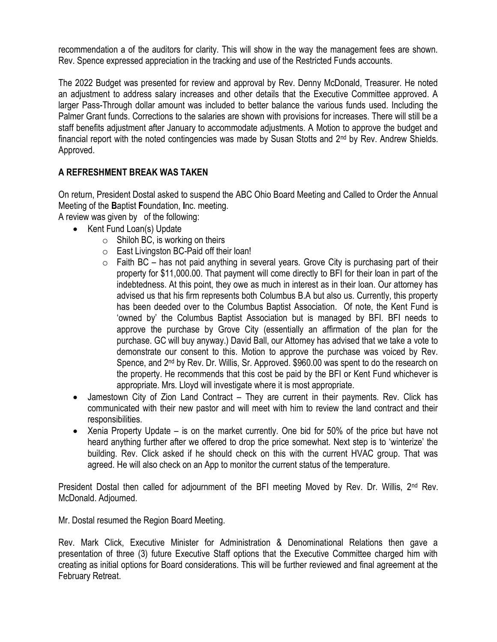recommendation a of the auditors for clarity. This will show in the way the management fees are shown. Rev. Spence expressed appreciation in the tracking and use of the Restricted Funds accounts.

The 2022 Budget was presented for review and approval by Rev. Denny McDonald, Treasurer. He noted an adjustment to address salary increases and other details that the Executive Committee approved. A larger Pass-Through dollar amount was included to better balance the various funds used. Including the Palmer Grant funds. Corrections to the salaries are shown with provisions for increases. There will still be a staff benefits adjustment after January to accommodate adjustments. A Motion to approve the budget and financial report with the noted contingencies was made by Susan Stotts and 2nd by Rev. Andrew Shields. Approved.

# A REFRESHMENT BREAK WAS TAKEN

On return, President Dostal asked to suspend the ABC Ohio Board Meeting and Called to Order the Annual Meeting of the Baptist Foundation, Inc. meeting.

A review was given by of the following:

- Kent Fund Loan(s) Update
	- $\circ$  Shiloh BC, is working on theirs
	- o East Livingston BC-Paid off their loan!
	- $\circ$  Faith BC has not paid anything in several years. Grove City is purchasing part of their property for \$11,000.00. That payment will come directly to BFI for their loan in part of the indebtedness. At this point, they owe as much in interest as in their loan. Our attorney has advised us that his firm represents both Columbus B.A but also us. Currently, this property has been deeded over to the Columbus Baptist Association. Of note, the Kent Fund is 'owned by' the Columbus Baptist Association but is managed by BFI. BFI needs to approve the purchase by Grove City (essentially an affirmation of the plan for the purchase. GC will buy anyway.) David Ball, our Attorney has advised that we take a vote to demonstrate our consent to this. Motion to approve the purchase was voiced by Rev. Spence, and 2<sup>nd</sup> by Rev. Dr. Willis, Sr. Approved. \$960.00 was spent to do the research on the property. He recommends that this cost be paid by the BFI or Kent Fund whichever is appropriate. Mrs. Lloyd will investigate where it is most appropriate.
- Jamestown City of Zion Land Contract They are current in their payments. Rev. Click has communicated with their new pastor and will meet with him to review the land contract and their responsibilities.
- Xenia Property Update is on the market currently. One bid for 50% of the price but have not heard anything further after we offered to drop the price somewhat. Next step is to 'winterize' the building. Rev. Click asked if he should check on this with the current HVAC group. That was agreed. He will also check on an App to monitor the current status of the temperature.

President Dostal then called for adjournment of the BFI meeting Moved by Rev. Dr. Willis, 2<sup>nd</sup> Rev. McDonald. Adjourned.

Mr. Dostal resumed the Region Board Meeting.

Rev. Mark Click, Executive Minister for Administration & Denominational Relations then gave a presentation of three (3) future Executive Staff options that the Executive Committee charged him with creating as initial options for Board considerations. This will be further reviewed and final agreement at the February Retreat.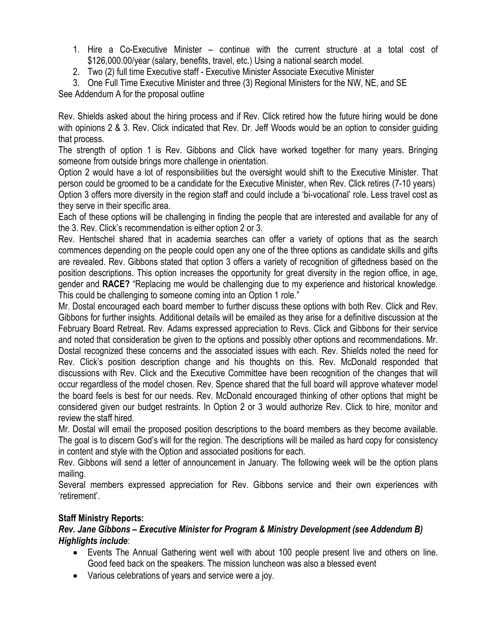- 1. Hire a Co-Executive Minister continue with the current structure at a total cost of \$126,000.00/year (salary, benefits, travel, etc.) Using a national search model.
- 2. Two (2) full time Executive staff Executive Minister Associate Executive Minister
- 3. One Full Time Executive Minister and three (3) Regional Ministers for the NW, NE, and SE

See Addendum A for the proposal outline

Rev. Shields asked about the hiring process and if Rev. Click retired how the future hiring would be done with opinions 2 & 3. Rev. Click indicated that Rev. Dr. Jeff Woods would be an option to consider guiding that process.

The strength of option 1 is Rev. Gibbons and Click have worked together for many years. Bringing someone from outside brings more challenge in orientation.

Option 2 would have a lot of responsibilities but the oversight would shift to the Executive Minister. That person could be groomed to be a candidate for the Executive Minister, when Rev. Click retires (7-10 years) Option 3 offers more diversity in the region staff and could include a 'bi-vocational' role. Less travel cost as they serve in their specific area.

Each of these options will be challenging in finding the people that are interested and available for any of the 3. Rev. Click's recommendation is either option 2 or 3.

Rev. Hentschel shared that in academia searches can offer a variety of options that as the search commences depending on the people could open any one of the three options as candidate skills and gifts are revealed. Rev. Gibbons stated that option 3 offers a variety of recognition of giftedness based on the position descriptions. This option increases the opportunity for great diversity in the region office, in age, gender and RACE? "Replacing me would be challenging due to my experience and historical knowledge. This could be challenging to someone coming into an Option 1 role."

Mr. Dostal encouraged each board member to further discuss these options with both Rev. Click and Rev. Gibbons for further insights. Additional details will be emailed as they arise for a definitive discussion at the February Board Retreat. Rev. Adams expressed appreciation to Revs. Click and Gibbons for their service and noted that consideration be given to the options and possibly other options and recommendations. Mr. Dostal recognized these concerns and the associated issues with each. Rev. Shields noted the need for Rev. Click's position description change and his thoughts on this. Rev. McDonald responded that discussions with Rev. Click and the Executive Committee have been recognition of the changes that will occur regardless of the model chosen. Rev. Spence shared that the full board will approve whatever model the board feels is best for our needs. Rev. McDonald encouraged thinking of other options that might be considered given our budget restraints. In Option 2 or 3 would authorize Rev. Click to hire, monitor and review the staff hired.

Mr. Dostal will email the proposed position descriptions to the board members as they become available. The goal is to discern God's will for the region. The descriptions will be mailed as hard copy for consistency in content and style with the Option and associated positions for each.

Rev. Gibbons will send a letter of announcement in January. The following week will be the option plans mailing.

Several members expressed appreciation for Rev. Gibbons service and their own experiences with 'retirement'.

# Staff Ministry Reports:

# Rev. Jane Gibbons – Executive Minister for Program & Ministry Development (see Addendum B) Highlights include:

- Events The Annual Gathering went well with about 100 people present live and others on line. Good feed back on the speakers. The mission luncheon was also a blessed event
- Various celebrations of years and service were a joy.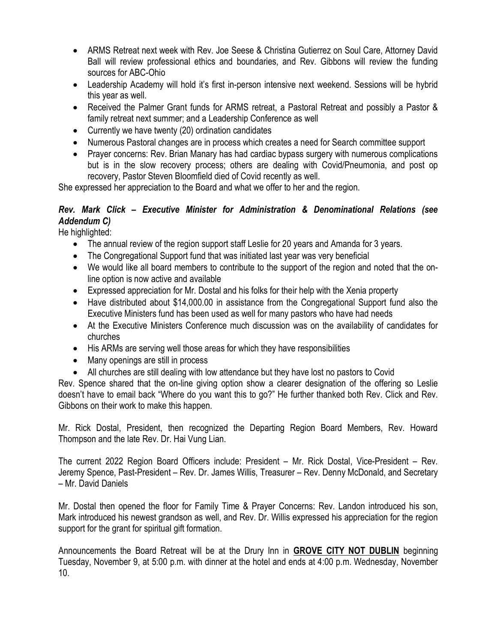- ARMS Retreat next week with Rev. Joe Seese & Christina Gutierrez on Soul Care, Attorney David Ball will review professional ethics and boundaries, and Rev. Gibbons will review the funding sources for ABC-Ohio
- Leadership Academy will hold it's first in-person intensive next weekend. Sessions will be hybrid this year as well.
- Received the Palmer Grant funds for ARMS retreat, a Pastoral Retreat and possibly a Pastor & family retreat next summer; and a Leadership Conference as well
- Currently we have twenty (20) ordination candidates
- Numerous Pastoral changes are in process which creates a need for Search committee support
- Prayer concerns: Rev. Brian Manary has had cardiac bypass surgery with numerous complications but is in the slow recovery process; others are dealing with Covid/Pneumonia, and post op recovery, Pastor Steven Bloomfield died of Covid recently as well.

She expressed her appreciation to the Board and what we offer to her and the region.

# Rev. Mark Click – Executive Minister for Administration & Denominational Relations (see Addendum C)

He highlighted:

- The annual review of the region support staff Leslie for 20 years and Amanda for 3 years.
- The Congregational Support fund that was initiated last year was very beneficial
- We would like all board members to contribute to the support of the region and noted that the online option is now active and available
- Expressed appreciation for Mr. Dostal and his folks for their help with the Xenia property
- Have distributed about \$14,000.00 in assistance from the Congregational Support fund also the Executive Ministers fund has been used as well for many pastors who have had needs
- At the Executive Ministers Conference much discussion was on the availability of candidates for churches
- His ARMs are serving well those areas for which they have responsibilities
- Many openings are still in process
- All churches are still dealing with low attendance but they have lost no pastors to Covid

Rev. Spence shared that the on-line giving option show a clearer designation of the offering so Leslie doesn't have to email back "Where do you want this to go?" He further thanked both Rev. Click and Rev. Gibbons on their work to make this happen.

Mr. Rick Dostal, President, then recognized the Departing Region Board Members, Rev. Howard Thompson and the late Rev. Dr. Hai Vung Lian.

The current 2022 Region Board Officers include: President – Mr. Rick Dostal, Vice-President – Rev. Jeremy Spence, Past-President – Rev. Dr. James Willis, Treasurer – Rev. Denny McDonald, and Secretary – Mr. David Daniels

Mr. Dostal then opened the floor for Family Time & Prayer Concerns: Rev. Landon introduced his son, Mark introduced his newest grandson as well, and Rev. Dr. Willis expressed his appreciation for the region support for the grant for spiritual gift formation.

Announcements the Board Retreat will be at the Drury Inn in GROVE CITY NOT DUBLIN beginning Tuesday, November 9, at 5:00 p.m. with dinner at the hotel and ends at 4:00 p.m. Wednesday, November 10.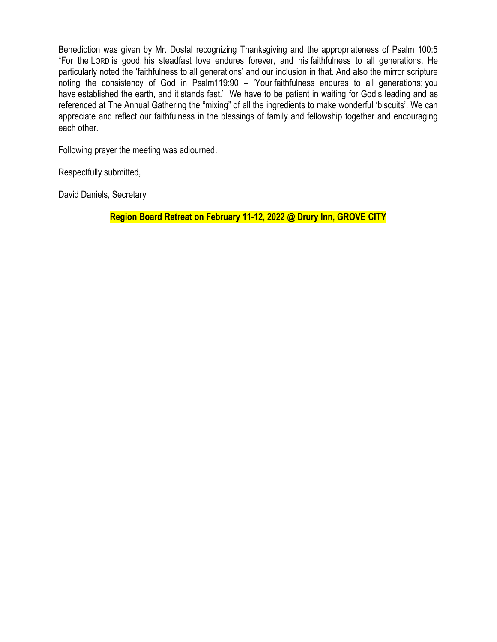Benediction was given by Mr. Dostal recognizing Thanksgiving and the appropriateness of Psalm 100:5 "For the LORD is good; his steadfast love endures forever, and his faithfulness to all generations. He particularly noted the 'faithfulness to all generations' and our inclusion in that. And also the mirror scripture noting the consistency of God in Psalm119:90 – 'Your faithfulness endures to all generations; you have established the earth, and it stands fast.' We have to be patient in waiting for God's leading and as referenced at The Annual Gathering the "mixing" of all the ingredients to make wonderful 'biscuits'. We can appreciate and reflect our faithfulness in the blessings of family and fellowship together and encouraging each other.

Following prayer the meeting was adjourned.

Respectfully submitted,

David Daniels, Secretary

Region Board Retreat on February 11-12, 2022 @ Drury Inn, GROVE CITY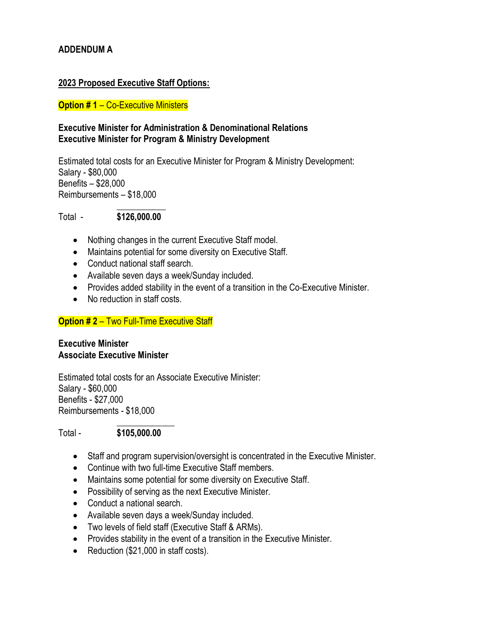# ADDENDUM A

# 2023 Proposed Executive Staff Options:

# **Option #1 – Co-Executive Ministers**

# Executive Minister for Administration & Denominational Relations Executive Minister for Program & Ministry Development

Estimated total costs for an Executive Minister for Program & Ministry Development: Salary - \$80,000 Benefits – \$28,000 Reimbursements – \$18,000

#### $\mathcal{L}_\text{max}$  and  $\mathcal{L}_\text{max}$  and  $\mathcal{L}_\text{max}$ Total - \$126,000.00

- Nothing changes in the current Executive Staff model.
- Maintains potential for some diversity on Executive Staff.
- Conduct national staff search.
- Available seven days a week/Sunday included.
- Provides added stability in the event of a transition in the Co-Executive Minister.
- No reduction in staff costs.

# **Option #2 – Two Full-Time Executive Staff**

#### Executive Minister Associate Executive Minister

Estimated total costs for an Associate Executive Minister: Salary - \$60,000 Benefits - \$27,000 Reimbursements - \$18,000

#### $\mathcal{L}_\text{max}$  and  $\mathcal{L}_\text{max}$  and  $\mathcal{L}_\text{max}$ Total - \$105,000.00

- Staff and program supervision/oversight is concentrated in the Executive Minister.
- Continue with two full-time Executive Staff members.
- Maintains some potential for some diversity on Executive Staff.
- Possibility of serving as the next Executive Minister.
- Conduct a national search.
- Available seven days a week/Sunday included.
- Two levels of field staff (Executive Staff & ARMs).
- Provides stability in the event of a transition in the Executive Minister.
- Reduction (\$21,000 in staff costs).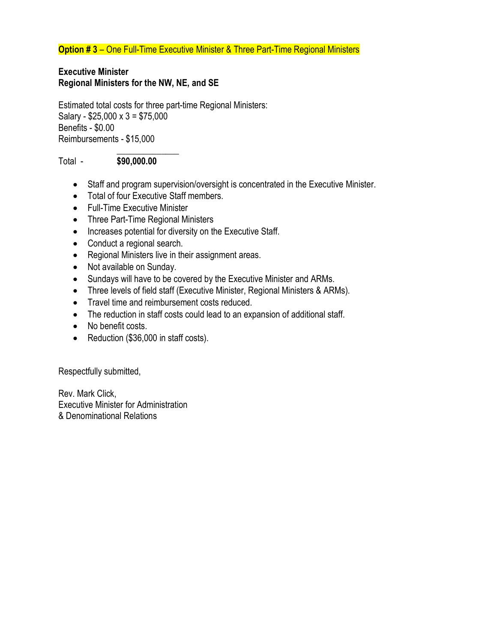**Option #3** – One Full-Time Executive Minister & Three Part-Time Regional Ministers

#### Executive Minister Regional Ministers for the NW, NE, and SE

Estimated total costs for three part-time Regional Ministers: Salary - \$25,000 x 3 = \$75,000 Benefits - \$0.00 Reimbursements - \$15,000

### Total - \$90,000.00

 $\mathcal{L}_\text{max}$  and  $\mathcal{L}_\text{max}$  and  $\mathcal{L}_\text{max}$ 

- Staff and program supervision/oversight is concentrated in the Executive Minister.
- Total of four Executive Staff members.
- **•** Full-Time Executive Minister
- Three Part-Time Regional Ministers
- Increases potential for diversity on the Executive Staff.
- Conduct a regional search.
- Regional Ministers live in their assignment areas.
- Not available on Sunday.
- Sundays will have to be covered by the Executive Minister and ARMs.
- Three levels of field staff (Executive Minister, Regional Ministers & ARMs).
- Travel time and reimbursement costs reduced.
- The reduction in staff costs could lead to an expansion of additional staff.
- No benefit costs.
- Reduction (\$36,000 in staff costs).

Respectfully submitted,

Rev. Mark Click, Executive Minister for Administration & Denominational Relations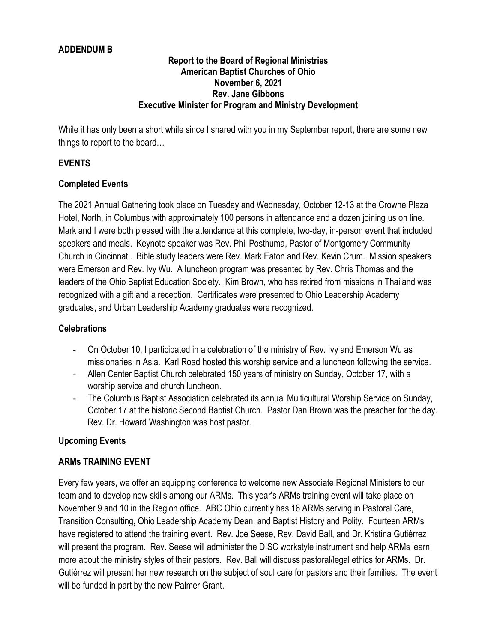# ADDENDUM B

#### Report to the Board of Regional Ministries American Baptist Churches of Ohio November 6, 2021 Rev. Jane Gibbons Executive Minister for Program and Ministry Development

While it has only been a short while since I shared with you in my September report, there are some new things to report to the board…

# EVENTS

# Completed Events

The 2021 Annual Gathering took place on Tuesday and Wednesday, October 12-13 at the Crowne Plaza Hotel, North, in Columbus with approximately 100 persons in attendance and a dozen joining us on line. Mark and I were both pleased with the attendance at this complete, two-day, in-person event that included speakers and meals. Keynote speaker was Rev. Phil Posthuma, Pastor of Montgomery Community Church in Cincinnati. Bible study leaders were Rev. Mark Eaton and Rev. Kevin Crum. Mission speakers were Emerson and Rev. Ivy Wu. A luncheon program was presented by Rev. Chris Thomas and the leaders of the Ohio Baptist Education Society. Kim Brown, who has retired from missions in Thailand was recognized with a gift and a reception. Certificates were presented to Ohio Leadership Academy graduates, and Urban Leadership Academy graduates were recognized.

# **Celebrations**

- On October 10, I participated in a celebration of the ministry of Rev. Ivy and Emerson Wu as missionaries in Asia. Karl Road hosted this worship service and a luncheon following the service.
- Allen Center Baptist Church celebrated 150 years of ministry on Sunday, October 17, with a worship service and church luncheon.
- The Columbus Baptist Association celebrated its annual Multicultural Worship Service on Sunday, October 17 at the historic Second Baptist Church. Pastor Dan Brown was the preacher for the day. Rev. Dr. Howard Washington was host pastor.

# Upcoming Events

# ARMs TRAINING EVENT

Every few years, we offer an equipping conference to welcome new Associate Regional Ministers to our team and to develop new skills among our ARMs. This year's ARMs training event will take place on November 9 and 10 in the Region office. ABC Ohio currently has 16 ARMs serving in Pastoral Care, Transition Consulting, Ohio Leadership Academy Dean, and Baptist History and Polity. Fourteen ARMs have registered to attend the training event. Rev. Joe Seese, Rev. David Ball, and Dr. Kristina Gutiérrez will present the program. Rev. Seese will administer the DISC workstyle instrument and help ARMs learn more about the ministry styles of their pastors. Rev. Ball will discuss pastoral/legal ethics for ARMs. Dr. Gutiérrez will present her new research on the subject of soul care for pastors and their families. The event will be funded in part by the new Palmer Grant.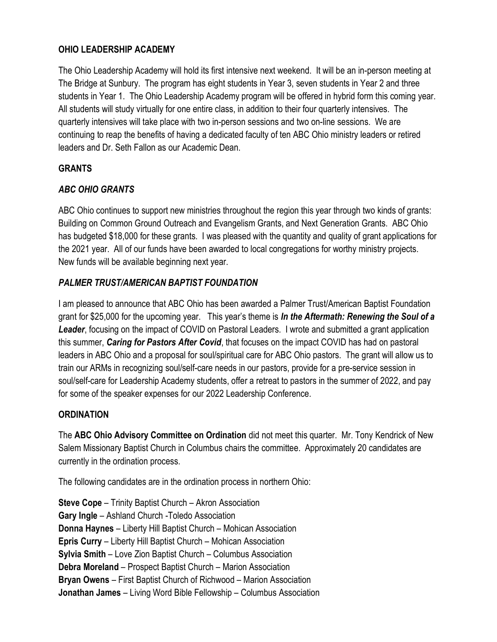# OHIO LEADERSHIP ACADEMY

The Ohio Leadership Academy will hold its first intensive next weekend. It will be an in-person meeting at The Bridge at Sunbury. The program has eight students in Year 3, seven students in Year 2 and three students in Year 1. The Ohio Leadership Academy program will be offered in hybrid form this coming year. All students will study virtually for one entire class, in addition to their four quarterly intensives. The quarterly intensives will take place with two in-person sessions and two on-line sessions. We are continuing to reap the benefits of having a dedicated faculty of ten ABC Ohio ministry leaders or retired leaders and Dr. Seth Fallon as our Academic Dean.

# GRANTS

# ABC OHIO GRANTS

ABC Ohio continues to support new ministries throughout the region this year through two kinds of grants: Building on Common Ground Outreach and Evangelism Grants, and Next Generation Grants. ABC Ohio has budgeted \$18,000 for these grants. I was pleased with the quantity and quality of grant applications for the 2021 year. All of our funds have been awarded to local congregations for worthy ministry projects. New funds will be available beginning next year.

# PALMER TRUST/AMERICAN BAPTIST FOUNDATION

I am pleased to announce that ABC Ohio has been awarded a Palmer Trust/American Baptist Foundation grant for \$25,000 for the upcoming year. This year's theme is In the Aftermath: Renewing the Soul of a Leader, focusing on the impact of COVID on Pastoral Leaders. I wrote and submitted a grant application this summer, **Caring for Pastors After Covid**, that focuses on the impact COVID has had on pastoral leaders in ABC Ohio and a proposal for soul/spiritual care for ABC Ohio pastors. The grant will allow us to train our ARMs in recognizing soul/self-care needs in our pastors, provide for a pre-service session in soul/self-care for Leadership Academy students, offer a retreat to pastors in the summer of 2022, and pay for some of the speaker expenses for our 2022 Leadership Conference.

# **ORDINATION**

The ABC Ohio Advisory Committee on Ordination did not meet this quarter. Mr. Tony Kendrick of New Salem Missionary Baptist Church in Columbus chairs the committee. Approximately 20 candidates are currently in the ordination process.

The following candidates are in the ordination process in northern Ohio:

Steve Cope – Trinity Baptist Church – Akron Association Gary Ingle – Ashland Church -Toledo Association Donna Haynes – Liberty Hill Baptist Church – Mohican Association Epris Curry – Liberty Hill Baptist Church – Mohican Association Sylvia Smith – Love Zion Baptist Church – Columbus Association Debra Moreland – Prospect Baptist Church – Marion Association Bryan Owens – First Baptist Church of Richwood – Marion Association Jonathan James – Living Word Bible Fellowship – Columbus Association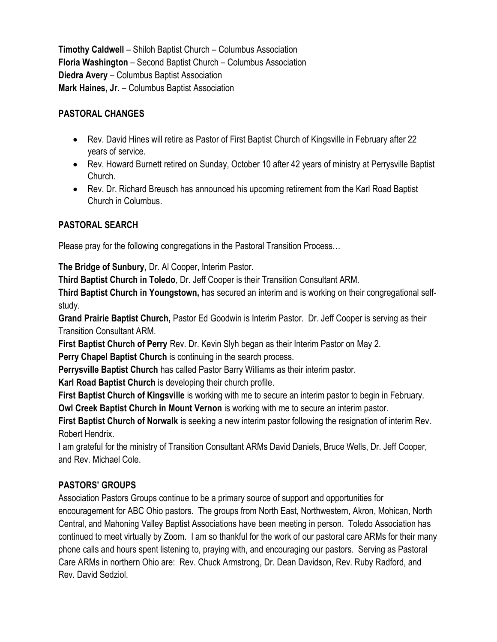Timothy Caldwell – Shiloh Baptist Church – Columbus Association Floria Washington – Second Baptist Church – Columbus Association Diedra Avery – Columbus Baptist Association Mark Haines, Jr. – Columbus Baptist Association

# PASTORAL CHANGES

- Rev. David Hines will retire as Pastor of First Baptist Church of Kingsville in February after 22 years of service.
- Rev. Howard Burnett retired on Sunday, October 10 after 42 years of ministry at Perrysville Baptist Church.
- Rev. Dr. Richard Breusch has announced his upcoming retirement from the Karl Road Baptist Church in Columbus.

# PASTORAL SEARCH

Please pray for the following congregations in the Pastoral Transition Process…

The Bridge of Sunbury, Dr. Al Cooper, Interim Pastor.

Third Baptist Church in Toledo, Dr. Jeff Cooper is their Transition Consultant ARM.

Third Baptist Church in Youngstown, has secured an interim and is working on their congregational selfstudy.

Grand Prairie Baptist Church, Pastor Ed Goodwin is Interim Pastor. Dr. Jeff Cooper is serving as their Transition Consultant ARM.

First Baptist Church of Perry Rev. Dr. Kevin Slyh began as their Interim Pastor on May 2.

Perry Chapel Baptist Church is continuing in the search process.

Perrysville Baptist Church has called Pastor Barry Williams as their interim pastor.

Karl Road Baptist Church is developing their church profile.

First Baptist Church of Kingsville is working with me to secure an interim pastor to begin in February.

Owl Creek Baptist Church in Mount Vernon is working with me to secure an interim pastor.

First Baptist Church of Norwalk is seeking a new interim pastor following the resignation of interim Rev. Robert Hendrix.

I am grateful for the ministry of Transition Consultant ARMs David Daniels, Bruce Wells, Dr. Jeff Cooper, and Rev. Michael Cole.

# PASTORS' GROUPS

Association Pastors Groups continue to be a primary source of support and opportunities for encouragement for ABC Ohio pastors. The groups from North East, Northwestern, Akron, Mohican, North Central, and Mahoning Valley Baptist Associations have been meeting in person. Toledo Association has continued to meet virtually by Zoom. I am so thankful for the work of our pastoral care ARMs for their many phone calls and hours spent listening to, praying with, and encouraging our pastors. Serving as Pastoral Care ARMs in northern Ohio are: Rev. Chuck Armstrong, Dr. Dean Davidson, Rev. Ruby Radford, and Rev. David Sedziol.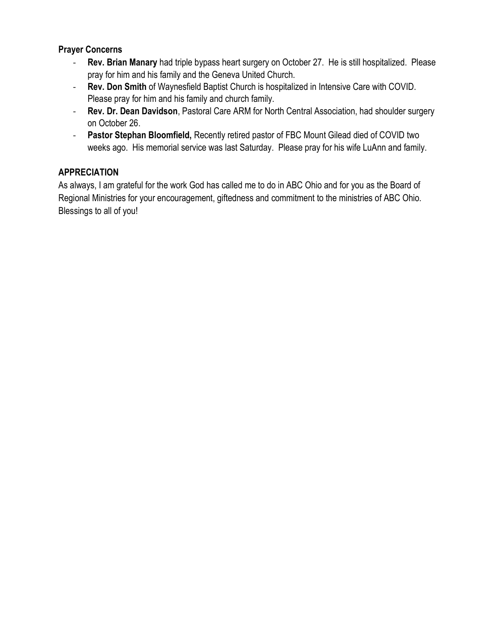# Prayer Concerns

- Rev. Brian Manary had triple bypass heart surgery on October 27. He is still hospitalized. Please pray for him and his family and the Geneva United Church.
- Rev. Don Smith of Waynesfield Baptist Church is hospitalized in Intensive Care with COVID. Please pray for him and his family and church family.
- Rev. Dr. Dean Davidson, Pastoral Care ARM for North Central Association, had shoulder surgery on October 26.
- Pastor Stephan Bloomfield, Recently retired pastor of FBC Mount Gilead died of COVID two weeks ago. His memorial service was last Saturday. Please pray for his wife LuAnn and family.

# APPRECIATION

As always, I am grateful for the work God has called me to do in ABC Ohio and for you as the Board of Regional Ministries for your encouragement, giftedness and commitment to the ministries of ABC Ohio. Blessings to all of you!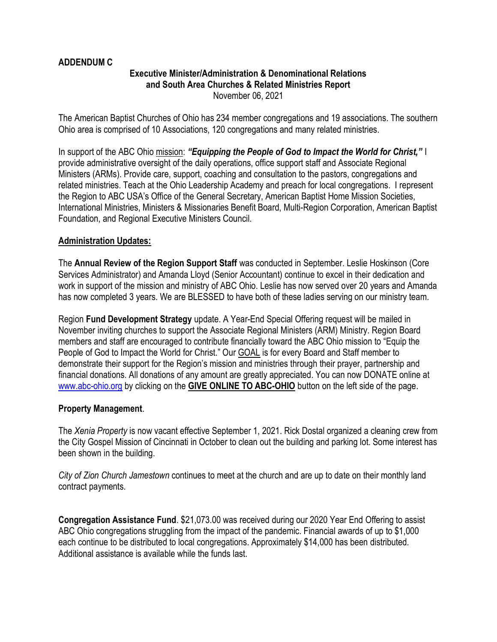#### ADDENDUM C

#### Executive Minister/Administration & Denominational Relations and South Area Churches & Related Ministries Report November 06, 2021

The American Baptist Churches of Ohio has 234 member congregations and 19 associations. The southern Ohio area is comprised of 10 Associations, 120 congregations and many related ministries.

In support of the ABC Ohio mission: "Equipping the People of God to Impact the World for Christ," I provide administrative oversight of the daily operations, office support staff and Associate Regional Ministers (ARMs). Provide care, support, coaching and consultation to the pastors, congregations and related ministries. Teach at the Ohio Leadership Academy and preach for local congregations. I represent the Region to ABC USA's Office of the General Secretary, American Baptist Home Mission Societies, International Ministries, Ministers & Missionaries Benefit Board, Multi-Region Corporation, American Baptist Foundation, and Regional Executive Ministers Council.

#### Administration Updates:

The Annual Review of the Region Support Staff was conducted in September. Leslie Hoskinson (Core Services Administrator) and Amanda Lloyd (Senior Accountant) continue to excel in their dedication and work in support of the mission and ministry of ABC Ohio. Leslie has now served over 20 years and Amanda has now completed 3 years. We are BLESSED to have both of these ladies serving on our ministry team.

Region Fund Development Strategy update. A Year-End Special Offering request will be mailed in November inviting churches to support the Associate Regional Ministers (ARM) Ministry. Region Board members and staff are encouraged to contribute financially toward the ABC Ohio mission to "Equip the People of God to Impact the World for Christ." Our GOAL is for every Board and Staff member to demonstrate their support for the Region's mission and ministries through their prayer, partnership and financial donations. All donations of any amount are greatly appreciated. You can now DONATE online at www.abc-ohio.org by clicking on the GIVE ONLINE TO ABC-OHIO button on the left side of the page.

#### Property Management.

The Xenia Property is now vacant effective September 1, 2021. Rick Dostal organized a cleaning crew from the City Gospel Mission of Cincinnati in October to clean out the building and parking lot. Some interest has been shown in the building.

City of Zion Church Jamestown continues to meet at the church and are up to date on their monthly land contract payments.

Congregation Assistance Fund. \$21,073.00 was received during our 2020 Year End Offering to assist ABC Ohio congregations struggling from the impact of the pandemic. Financial awards of up to \$1,000 each continue to be distributed to local congregations. Approximately \$14,000 has been distributed. Additional assistance is available while the funds last.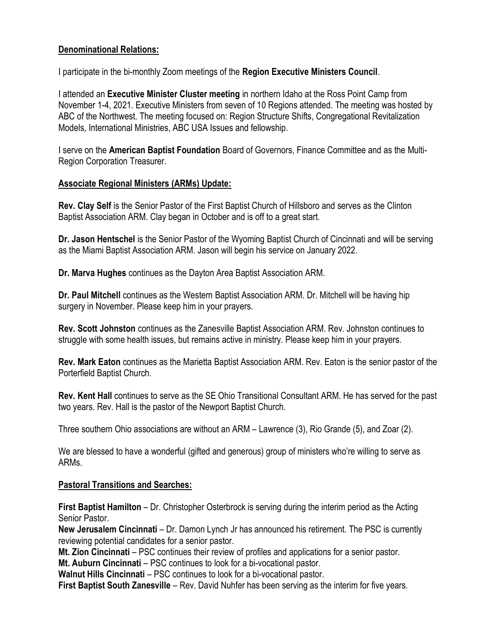# Denominational Relations:

I participate in the bi-monthly Zoom meetings of the Region Executive Ministers Council.

I attended an Executive Minister Cluster meeting in northern Idaho at the Ross Point Camp from November 1-4, 2021. Executive Ministers from seven of 10 Regions attended. The meeting was hosted by ABC of the Northwest. The meeting focused on: Region Structure Shifts, Congregational Revitalization Models, International Ministries, ABC USA Issues and fellowship.

I serve on the American Baptist Foundation Board of Governors, Finance Committee and as the Multi-Region Corporation Treasurer.

# Associate Regional Ministers (ARMs) Update:

Rev. Clay Self is the Senior Pastor of the First Baptist Church of Hillsboro and serves as the Clinton Baptist Association ARM. Clay began in October and is off to a great start.

Dr. Jason Hentschel is the Senior Pastor of the Wyoming Baptist Church of Cincinnati and will be serving as the Miami Baptist Association ARM. Jason will begin his service on January 2022.

Dr. Marva Hughes continues as the Dayton Area Baptist Association ARM.

Dr. Paul Mitchell continues as the Western Baptist Association ARM. Dr. Mitchell will be having hip surgery in November. Please keep him in your prayers.

Rev. Scott Johnston continues as the Zanesville Baptist Association ARM. Rev. Johnston continues to struggle with some health issues, but remains active in ministry. Please keep him in your prayers.

Rev. Mark Eaton continues as the Marietta Baptist Association ARM. Rev. Eaton is the senior pastor of the Porterfield Baptist Church.

Rev. Kent Hall continues to serve as the SE Ohio Transitional Consultant ARM. He has served for the past two years. Rev. Hall is the pastor of the Newport Baptist Church.

Three southern Ohio associations are without an ARM – Lawrence (3), Rio Grande (5), and Zoar (2).

We are blessed to have a wonderful (gifted and generous) group of ministers who're willing to serve as ARMs.

# Pastoral Transitions and Searches:

First Baptist Hamilton – Dr. Christopher Osterbrock is serving during the interim period as the Acting Senior Pastor.

New Jerusalem Cincinnati – Dr. Damon Lynch Jr has announced his retirement. The PSC is currently reviewing potential candidates for a senior pastor.

Mt. Zion Cincinnati – PSC continues their review of profiles and applications for a senior pastor.

Mt. Auburn Cincinnati – PSC continues to look for a bi-vocational pastor.

Walnut Hills Cincinnati – PSC continues to look for a bi-vocational pastor.

First Baptist South Zanesville – Rev. David Nuhfer has been serving as the interim for five years.